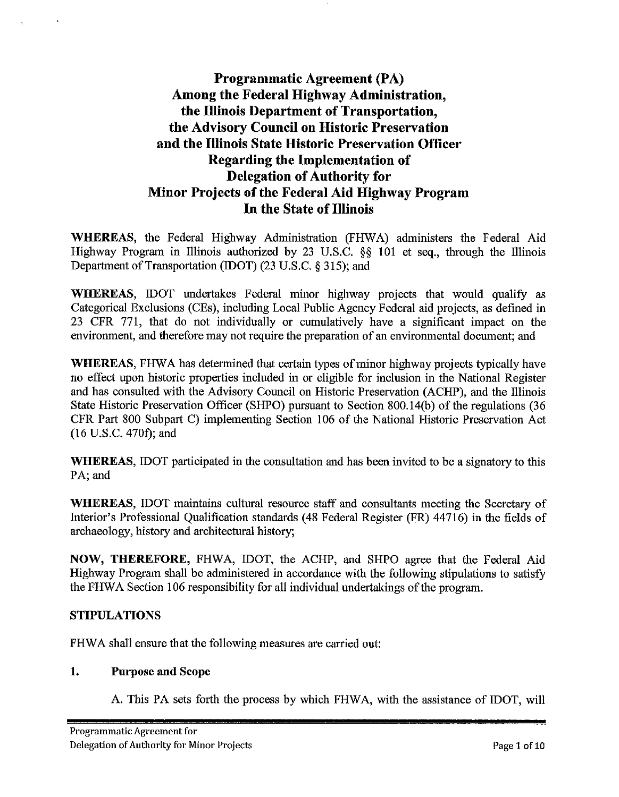# **Programmatic Agreement (PA) Among the Federal Highway Administration, the Illinois Department of Transportation, the Advisory Council on Historic Preservation and the Illinois State Historic Preservation Officer Regarding the Implementation of Delegation of Authority for Minor Projects of the Federal Aid Highway Program In the State of Illinois**

**WHEREAS,** the Federal Highway Administration (FHWA) administers the Federal Aid Highway Program in Illinois authorized by 23 U.S.C. §§ 101 et seq., through the Illinois Department of Transportation (IDOT) (23 U.S.C. § 315); and

**WHEREAS,** IDOT undertakes Federal minor highway projects that would qualify as Categorical Exclusions (CEs), including Local Public Agency Federal aid projects, as defined in 23 CFR 771, that do not individually or cumulatively have a significant impact on the environment, and therefore may not require the preparation of an environmental document; and

**WHEREAS,** FHWA has determined that certain types of minor highway projects typically have no effect upon historic properties included in or eligible for inclusion in the National Register and has consulted with the Advisory Council on Historic Preservation (ACHP), and the Illinois State Historic Preservation Officer (SHPO) pursuant to Section 800.14(b) of the regulations (36 CFR Part 800 Subpart C) implementing Section 106 of the National Historic Preservation Act (16 U.S.C. 470t); and

**WHEREAS,** IDOT participated in the consultation and has been invited to be a signatory to this PA; and

**WHEREAS,** IDOT maintains cultural resource staff and consultants meeting the Secretary of Interior's Professional Qualification standards (48 Federal Register (FR) 44716) in the fields of archaeology, history and architectural history;

**NOW, THEREFORE,** FHWA, IDOT, the ACHP, and SHPO agree that the Federal Aid Highway Program shall be administered in accordance with the following stipulations to satisfy the FHWA Section 106 responsibility for all individual undertakings of the program.

## **STIPULATIONS**

FHWA shall ensure that the following measures are carried out:

#### **1. Purpose and Scope**

A. This PA sets forth the process by which FHW A, with the assistance of IDOT, will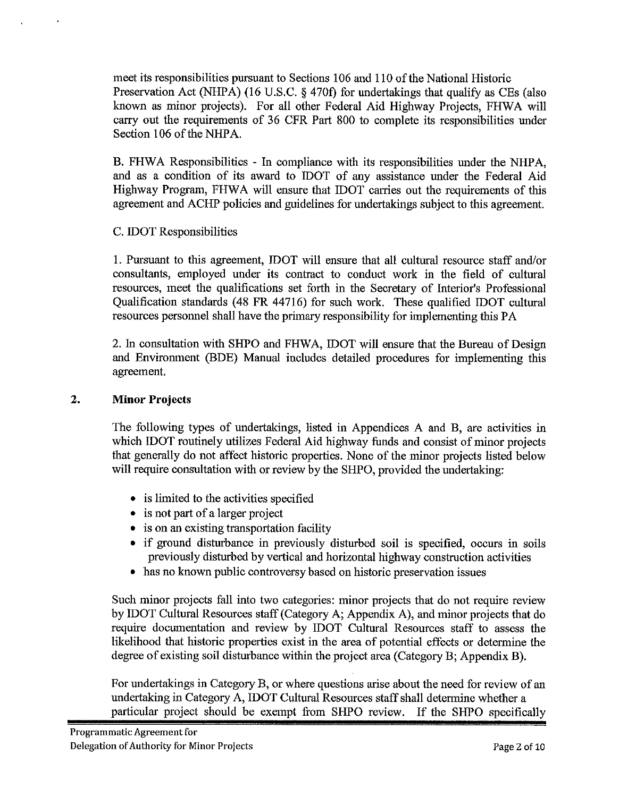meet its responsibilities pursuant to Sections 106 and 110 of the National Historic Preservation Act (NHPA) (16 U.S.C. § 470t) for undertakings that qualify as CEs (also known as minor projects). For all other Federal Aid Highway Projects, FHWA will carry out the requirements of 36 CFR Part 800 to complete its responsibilities under Section 106 of the NHPA.

B. FHWA Responsibilities - In compliance with its responsibilities under the NHPA, and as a condition of its award to IDOT of any assistance under the Federal Aid Highway Program, FHWA will ensure that IDOT carries out the requirements of this agreement and ACHP policies and guidelines for undertakings subject to this agreement.

## C. IDOT Responsibilities

1. Pursuant to this agreement, IDOT will ensure that all cultural resource staff and/or consultants, employed under its contract to conduct work in the field of cultural resources, meet the qualifications set forth in the Secretary of Interior's Professional Qualification standards (48 FR 44716) for such work. These qualified IDOT cultural resources personnel shall have the primary responsibility for implementing this PA

2. In consultation with SHPO and FHWA, IDOT will ensure that the Bureau of Design and Environment (BDE) Manual includes detailed procedures for implementing this agreement.

## **2. Minor Projects**

The following types of undertakings, listed in Appendices A and B, are activities in which IDOT routinely utilizes Federal Aid highway funds and consist of minor projects that generally do not affect historic properties. None of the minor projects listed below will require consultation with or review by the SHPO, provided the undertaking:

- is limited to the activities specified
- is not part of a larger project
- is on an existing transportation facility
- if ground disturbance in previously disturbed soil is specified, occurs in soils previously disturbed by vertical and horizontal highway construction activities
- has no known public controversy based on historic preservation issues

Such minor projects fall into two categories: minor projects that do not require review by IDOT Cultural Resources staff (Category A; Appendix A), and minor projects that do require documentation and review by IDOT Cultural Resources staff to assess the likelihood that historic properties exist in the area of potential effects or determine the degree of existing soil disturbance within the project area (Category B; Appendix B).

For undertakings in Category B, or where questions arise about the need for review of an undertaking in Category A, IDOT Cultural Resources staff shall determine whether a particular project should be exempt from SHPO review. If the SHPO specifically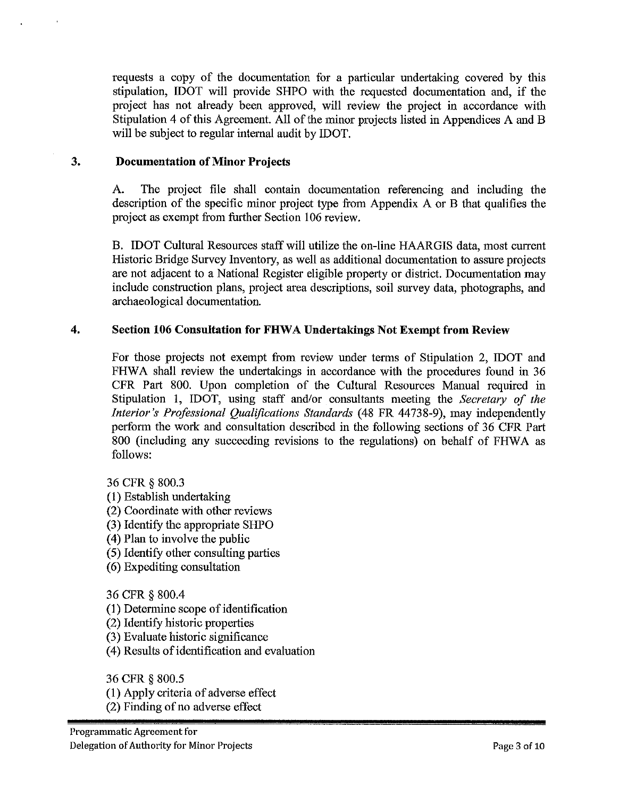requests a copy of the documentation for a particular undertaking covered by this stipulation, IDOT will provide SHPO with the requested documentation and, if the project has not already been approved, will review the project in accordance with Stipulation 4 of this Agreement. All of the minor projects listed in Appendices A and B will be subject to regular internal audit by IDOT.

## **3. Documentation of Minor Projects**

A. The project file shall contain documentation referencing and including the description of the specific minor project type from Appendix A or B that qualifies the project as exempt from further Section 106 review.

B. IDOT Cultural Resources staff will utilize the on-line HAARGIS data, most current Historic Bridge Survey Inventory, as well as additional documentation to assure projects are not adjacent to a National Register eligible property or district. Documentation may include construction plans, project area descriptions, soil survey data, photographs, and archaeological documentation.

#### **4. Section 106 Consultation for FHW A Undertakings Not Exempt from Review**

For those projects not exempt from review under terms of Stipulation 2, IDOT and FHWA shall review the undertakings in accordance with the procedures found in 36 CPR Part 800. Upon completion of the Cultural Resources Manual required in Stipulation 1, IDOT, using staff and/or consultants meeting the *Secretary of the Interior's Professional Qualifications Standards* (48 FR 44738-9), may independently perform the work and consultation described in the following sections of 36 CPR Part 800 (including any succeeding revisions to the regulations) on behalf of FHWA as follows:

36 CPR § 800.3

- (1) Establish undertaking
- (2) Coordinate with other reviews
- (3) Identify the appropriate SHPO
- ( 4) Plan to involve the public
- ( 5) Identify other consulting parties
- (6) Expediting consultation

36 CPR§ 800.4

- (1) Determine scope of identification
- (2) Identify historic properties
- (3) Evaluate historic significance
- ( 4) Results of identification and evaluation

36 CPR § 800.5

- (1) Apply criteria of adverse effect
- (2) Finding of no adverse effect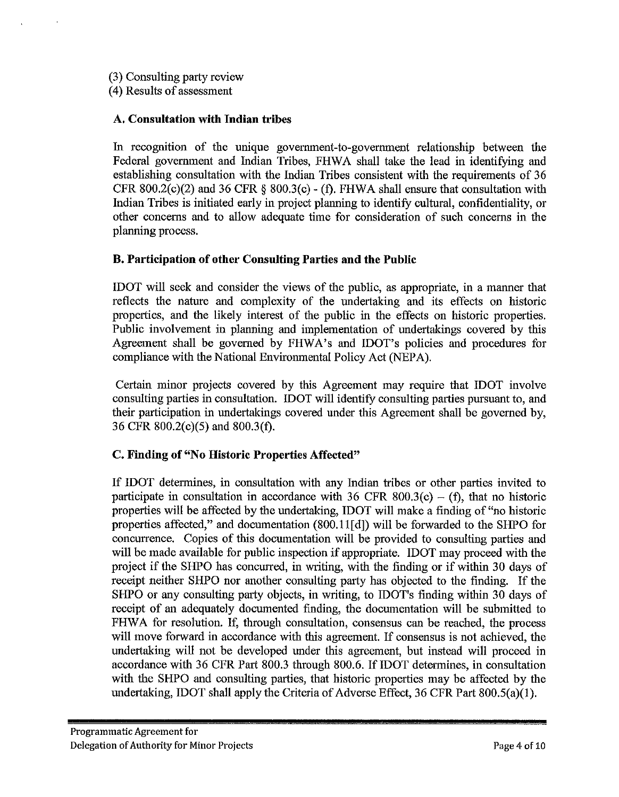(3) Consulting party review

( 4) Results of assessment

## **A. Consultation with Indian tribes**

In recognition of the unique government-to-government relationship between the Federal government and Indian Tribes, FHWA shall take the lead in identifying and establishing consultation with the Indian Tribes consistent with the requirements of 36 CFR 800.2(c)(2) and 36 CFR  $\S$  800.3(c) - (f). FHWA shall ensure that consultation with Indian Tribes is initiated early in project planning to identify cultural, confidentiality, or other concerns and to allow adequate time for consideration of such concerns in the planning process.

# **B. Participation of other Consulting Parties and the Public**

IDOT will seek and consider the views of the public, as appropriate, in a manner that reflects the nature and complexity of the undertaking and its effects on historic properties, and the likely interest of the public in the effects on historic properties. Public involvement in planning and implementation of undertakings covered by this Agreement shall be governed by FHWA's and IDOT's policies and procedures for compliance with the National Environmental Policy Act (NEPA).

Certain minor projects covered by this Agreement may require that IDOT involve consulting parties in consultation. !DOT will identify consulting parties pursuant to, and their participation in undertakings covered under this Agreement shall be governed by, 36 CFR 800.2(c)(5) and 800.3(f).

# **C, Finding of "No Historic Properties Affected"**

If IDOT determines, in consultation with any Indian tribes or other parties invited to participate in consultation in accordance with 36 CFR 800.3(c) – (f), that no historic properties will be affected by the undertaking, !DOT will make a finding of "no historic properties affected," and documentation (800.11[d]) will be forwarded to the SHPO for concurrence. Copies of this documentation will be provided to consulting parties and will be made available for public inspection if appropriate. IDOT may proceed with the project if the SHPO has concurred, in writing, with the finding or if within 30 days of receipt neither SHPO nor another consulting party has objected to the finding. If the SHPO or any consulting party objects, in writing, to IDOT's finding within 30 days of receipt of an adequately documented finding, the documentation will be submitted to FHWA for resolution. If, through consultation, consensus can be reached, the process will move forward in accordance with this agreement. If consensus is not achieved, the undertaking will not be developed under this agreement, but instead will proceed in accordance with 36 CFR Part 800.3 through 800.6. If IDOT determines, in consultation with the SHPO and consulting parties, that historic properties may be affected by the undertaking, IDOT shall apply the Criteria of Adverse Effect, 36 CFR Part 800.S(a)(l).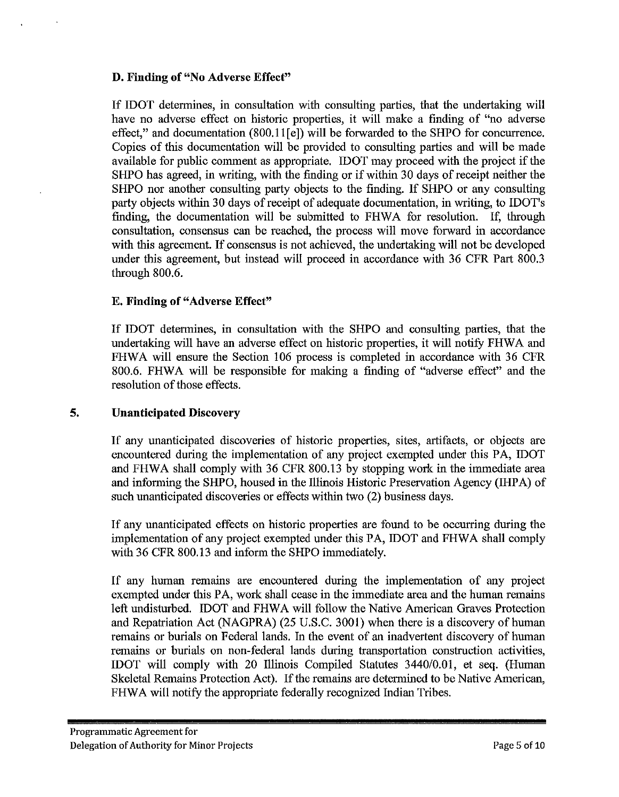## **D. Finding of "No Adverse Effect"**

If IDOT determines, in consultation with consulting parties, that the undertaking will have no adverse effect on historic properties, it will make a finding of "no adverse effect," and documentation (800.11<sup>[e]</sup>) will be forwarded to the SHPO for concurrence. Copies of this documentation will be provided to consulting parties and will be made available for public comment as appropriate. IDOT may proceed with the project if the SHPO has agreed, in writing, with the finding or if within 30 days of receipt neither the SHPO nor another consulting party objects to the finding. If SHPO or any consulting party objects within 30 days of receipt of adequate documentation, in writing, to IDOT's finding, the documentation will be submitted to FHWA for resolution. If, through consultation, consensus can be reached, the process will move forward in accordance with this agreement. If consensus is not achieved, the undertaking will not be developed under this agreement, but instead will proceed in accordance with 36 CFR Part 800.3 through 800.6.

#### **E. Finding of" Adverse Effect"**

If IDOT determines, in consultation with the SHPO and consulting parties, that the undertaking will have an adverse effect on historic properties, it will notify FHWA and FHWA will ensure the Section 106 process is completed **in** accordance with 36 CFR 800.6. FHWA will be responsible for making a finding of "adverse effect" and the resolution of those effects.

## **5. Unanticipated Discovery**

If any unanticipated discoveries of historic properties, sites, artifacts, or objects are encountered during the implementation of any project exempted under this PA, IDOT and FHWA shall comply with 36 CFR 800.13 by stopping work in the immediate area and informing the SHPO, housed in the Illinois Historic Preservation Agency (IHP A) of such unanticipated discoveries or effects within two (2) business days.

If any unanticipated effects on historic properties are found to be occurring during the implementation of any project exempted under this PA, IDOT and FHWA shall comply with 36 CFR 800.13 and inform the SHPO immediately.

If any human remains are encountered during the implementation of any project exempted under this PA, work shall cease in the immediate area and the human remains left undisturbed. IDOT and FHWA will follow the Native American Graves Protection and Repatriation Act (NAGPRA) (25 U.S.C. 3001) when there is a discovery of human remains or burials on Federal lands. In the event of an inadvertent discovery of human remains or burials on non-federal lands during transportation construction activities, IDOT will comply with 20 Illinois Compiled Statutes 3440/0.01, et seq. (Human Skeletal Remains Protection Act). If the remains are determined to be Native American, FHWA will notify the appropriate federally recognized Indian Tribes.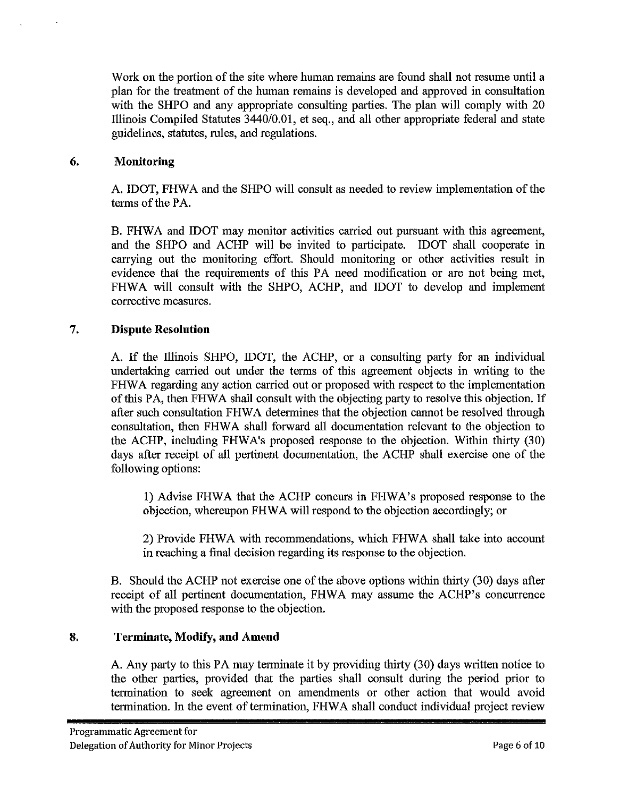Work on the portion of the site where human remains are found shall not resume until a plan for the treatment of the human remains is developed and approved in consultation with the SHPO and any appropriate consulting parties. The plan will comply with 20 Illinois Compiled Statutes 3440/0.01, et seq., and all other appropriate federal and state guidelines, statutes, rules, and regulations.

## **6. Monitoring**

A. IDOT, FHWA and the SHPO will consult as needed to review implementation of the terms of the PA.

B. FHWA and IDOT may monitor activities carried out pursuant with this agreement, and the SHPO and ACHP will be invited to participate. IDOT shall cooperate in carrying out the monitoring effort. Should monitoring or other activities result in evidence that the requirements of this PA need modification or are not being met, FHWA will consult with the SHPO, ACHP, and IDOT to develop and implement corrective measures.

#### 7. **Dispute Resolution**

A. If the Illinois SHPO, IDOT, the ACHP, or a consulting party for an individual undertaking carried out under the terms of this agreement objects in writing to the FHWA regarding any action carried out or proposed with respect to the implementation of this PA, then FHWA shall consult with the objecting party to resolve this objection. If after such consultation FHWA determines that the objection cannot be resolved through consultation, then FHW A shall forward all documentation relevant to the objection to the ACHP, including FHWA's proposed response to the objection. Within thirty (30) days after receipt of all pertinent documentation, the ACHP shall exercise one of the following options:

1) Advise FHWA that the ACHP concurs in FHWA's proposed response to the objection, whereupon FHWA will respond to the objection accordingly; or

2) Provide FHWA with recommendations, which FHWA shall take into account in reaching a final decision regarding its response to the objection.

B. Should the ACHP not exercise one of the above options within thirty (30) days after receipt of all pertinent documentation, FHWA may assume the ACHP's concurrence with the proposed response to the objection.

#### **8. Terminate, Modify, and Amend**

A. Any party to this PA may terminate it by providing thirty (30) days written notice to the other parties, provided that the parties shall consult during the period prior to termination to seek agreement on amendments or other action that would avoid termination. In the event of termination, FHWA shall conduct individual project review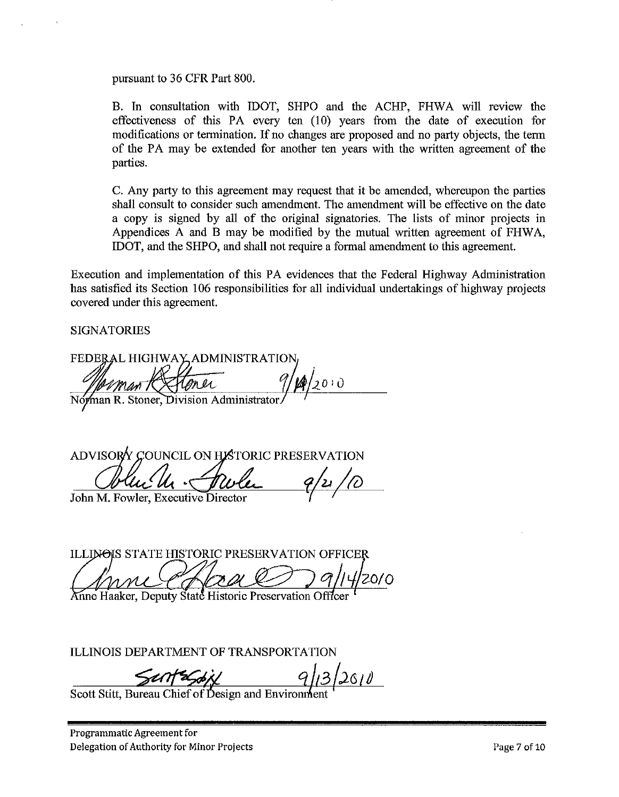pursuant to 36 CPR Part 800.

B. In consultation with IDOT, SHPO and the ACHP, FHWA will review the effectiveness of this PA every ten (10) years from the date of execution for modifications or termination. If no changes are proposed and no party objects, the term of the PA may be extended for another ten years with the written agreement of the parties.

C. Any party to this agreement may request that it be amended, whereupon the parties shall consult to consider such amendment. The amendment will be effective on the date a copy is signed by all of the original signatories. The lists of minor projects in Appendices A and B may be modified by the mutual written agreement of FHW A, IDOT, and the SHPO, and shall not require a formal amendment to this agreement.

Execution and implementation of this PA evidences that the Federal Highway Administration has satisfied its Section 106 responsibilities for all individual undertakings of highway projects covered under this agreement.

**SIGNATORIES** 

FEDERAL HIGHWAY ADMINISTRATION Man Restoner<br>Norman R. Stoner, Division Administrator  $9/10/20.0$ 

ADVISORY COUNCIL ON HISTORIC PRESERVATION *CJ~//4 .~)* 

John M. Fowler, Executive Director

ILLINOIS STATE HISTORIC PRESERVATION OFFICER Anne Haaker, Deputy State Historic Preservation Office

ILLINOIS DEPARTMENT OF TRANSPORTATION

 $\frac{\sqrt{4\pi}}{\sqrt{2\pi}}\frac{q}{2010}$ <br>Scott Stitt, Bureau Chief of Design and Environment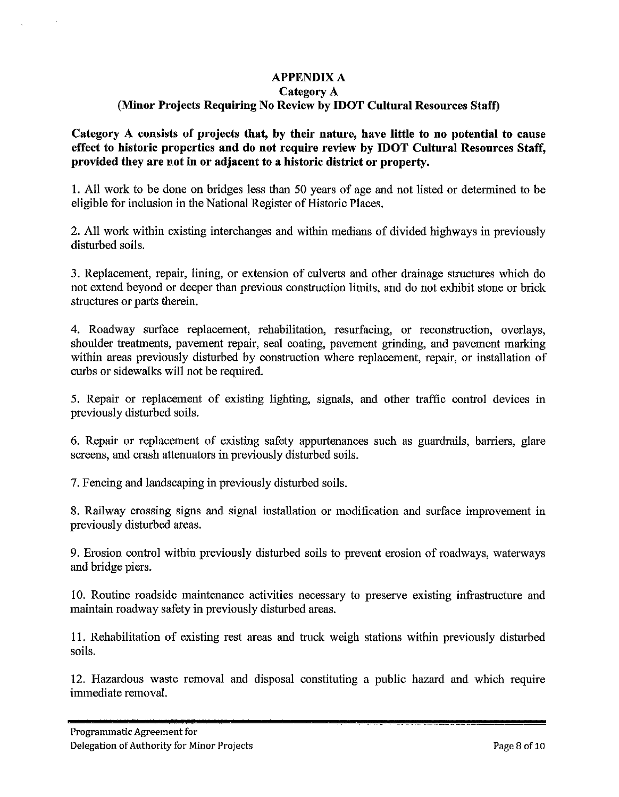## **APPENDIX A**

## **Category A**

# **(Minor Projects Requiring No Review by IDOT Cultural Resources Staff)**

**Category A consists of projects that, by their nature, have little to no potential to cause effect to historic properties and do not require review by IDOT Cultural Resources Staff, provided they are not in or adjacent to a historic district or property.** 

**1.** All work to be done on bridges less than 50 years of age and not listed or determined to be eligible for inclusion in the National Register of Historic Places.

2. All work within existing interchanges and within medians of divided highways in previously disturbed soils.

3. Replacement, repair, lining, or extension of culverts and other drainage structures which do not extend beyond or deeper than previous construction limits, and do not exhibit stone or brick structures or parts therein.

4. Roadway surface replacement, rehabilitation, resurfacing, or reconstruction, overlays, shoulder treatments, pavement repair, seal coating, pavement grinding, and pavement marking within areas previously disturbed by construction where replacement, repair, or installation of curbs or sidewalks will not be required.

5. Repair or replacement of existing lighting, signals, and other traffic control devices in previously disturbed soils.

6. Repair or replacement of existing safety appurtenances such as guardrails, barriers, glare screens, and crash attenuators in previously disturbed soils.

7. Fencing and landscaping in previously disturbed soils.

8. Railway crossing signs and signal installation or modification and surface improvement in previously disturbed areas.

9. Erosion control within previously disturbed soils to prevent erosion of roadways, waterways and bridge piers.

10. Routine roadside maintenance activities necessary to preserve existing infrastructure and maintain roadway safety in previously disturbed areas.

11. Rehabilitation of existing rest areas and truck weigh stations within previously disturbed soils.

12. Hazardous waste removal and disposal constituting a public hazard and which require immediate removal.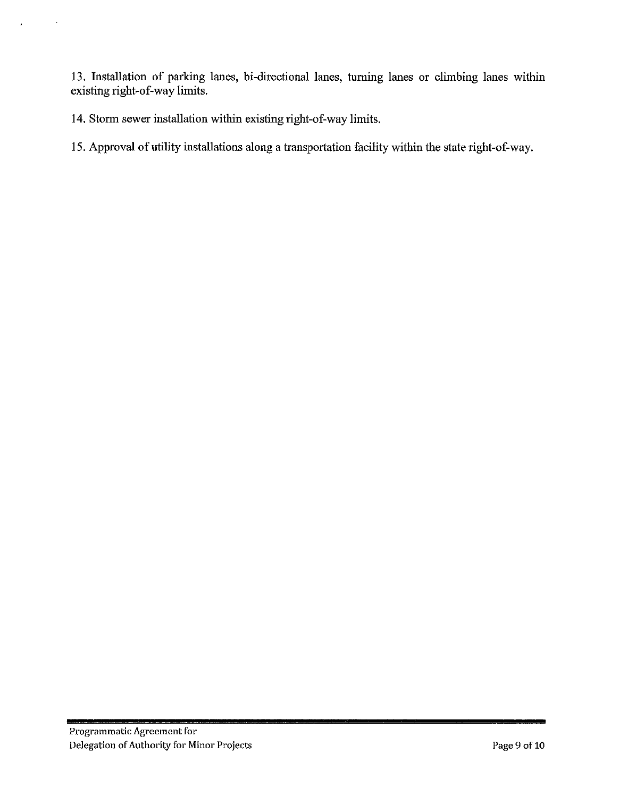13. Installation of parking lanes, bi-directional lanes, turning lanes or climbing lanes within existing right-of-way limits.

14. Storm sewer installation within existing right-of-way limits.

15. Approval of utility installations along a transportation facility within the state right-of-way.